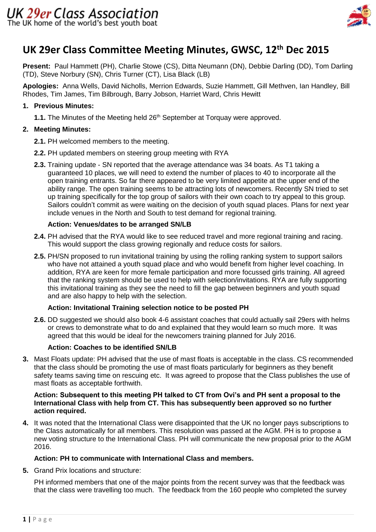

# **UK 29er Class Committee Meeting Minutes, GWSC, 12th Dec 2015**

**Present:** Paul Hammett (PH), Charlie Stowe (CS), Ditta Neumann (DN), Debbie Darling (DD), Tom Darling (TD), Steve Norbury (SN), Chris Turner (CT), Lisa Black (LB)

**Apologies:** Anna Wells, David Nicholls, Merrion Edwards, Suzie Hammett, Gill Methven, Ian Handley, Bill Rhodes, Tim James, Tim Bilbrough, Barry Jobson, Harriet Ward, Chris Hewitt

# **1. Previous Minutes:**

**1.1.** The Minutes of the Meeting held 26<sup>th</sup> September at Torquay were approved.

# **2. Meeting Minutes:**

- **2.1.** PH welcomed members to the meeting.
- **2.2.** PH updated members on steering group meeting with RYA
- **2.3.** Training update SN reported that the average attendance was 34 boats. As T1 taking a guaranteed 10 places, we will need to extend the number of places to 40 to incorporate all the open training entrants. So far there appeared to be very limited appetite at the upper end of the ability range. The open training seems to be attracting lots of newcomers. Recently SN tried to set up training specifically for the top group of sailors with their own coach to try appeal to this group. Sailors couldn't commit as were waiting on the decision of youth squad places. Plans for next year include venues in the North and South to test demand for regional training.

# **Action: Venues/dates to be arranged SN/LB**

- **2.4.** PH advised that the RYA would like to see reduced travel and more regional training and racing. This would support the class growing regionally and reduce costs for sailors.
- **2.5.** PH/SN proposed to run invitational training by using the rolling ranking system to support sailors who have not attained a youth squad place and who would benefit from higher level coaching. In addition, RYA are keen for more female participation and more focussed girls training. All agreed that the ranking system should be used to help with selection/invitations. RYA are fully supporting this invitational training as they see the need to fill the gap between beginners and youth squad and are also happy to help with the selection.

# **Action: Invitational Training selection notice to be posted PH**

**2.6.** DD suggested we should also book 4-6 assistant coaches that could actually sail 29ers with helms or crews to demonstrate what to do and explained that they would learn so much more. It was agreed that this would be ideal for the newcomers training planned for July 2016.

# **Action: Coaches to be identified SN/LB**

**3.** Mast Floats update: PH advised that the use of mast floats is acceptable in the class. CS recommended that the class should be promoting the use of mast floats particularly for beginners as they benefit safety teams saving time on rescuing etc. It was agreed to propose that the Class publishes the use of mast floats as acceptable forthwith.

#### **Action: Subsequent to this meeting PH talked to CT from Ovi's and PH sent a proposal to the International Class with help from CT. This has subsequently been approved so no further action required.**

**4.** It was noted that the International Class were disappointed that the UK no longer pays subscriptions to the Class automatically for all members. This resolution was passed at the AGM. PH is to propose a new voting structure to the International Class. PH will communicate the new proposal prior to the AGM 2016.

# **Action: PH to communicate with International Class and members.**

**5.** Grand Prix locations and structure:

PH informed members that one of the major points from the recent survey was that the feedback was that the class were travelling too much. The feedback from the 160 people who completed the survey